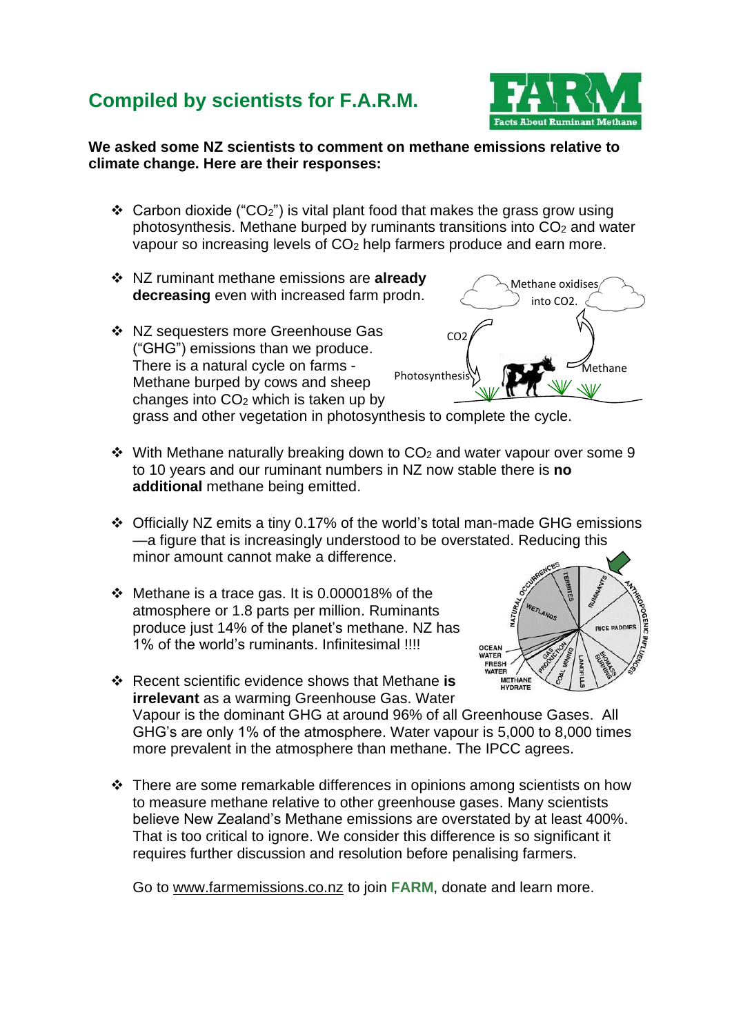## **Compiled by scientists for F.A.R.M.**



## **We asked some NZ scientists to comment on methane emissions relative to climate change. Here are their responses:**

- ❖ Carbon dioxide ("CO2") is vital plant food that makes the grass grow using photosynthesis. Methane burped by ruminants transitions into  $CO<sub>2</sub>$  and water vapour so increasing levels of CO<sup>2</sup> help farmers produce and earn more.
- ❖ NZ ruminant methane emissions are **already decreasing** even with increased farm prodn.
- ❖ NZ sequesters more Greenhouse Gas ("GHG") emissions than we produce. There is a natural cycle on farms - Methane burped by cows and sheep changes into CO<sup>2</sup> which is taken up by

C<sub>O2</sub> Methane oxidises into CO2. Photosynthesis  $M$ 

grass and other vegetation in photosynthesis to complete the cycle.

- $\dots$  With Methane naturally breaking down to CO<sub>2</sub> and water vapour over some 9 to 10 years and our ruminant numbers in NZ now stable there is **no additional** methane being emitted.
- ❖ Officially NZ emits a tiny 0.17% of the world's total man-made GHG emissions —a figure that is increasingly understood to be overstated. Reducing this minor amount cannot make a difference.
- ❖ Methane is a trace gas. It is 0.000018% of the atmosphere or 1.8 parts per million. Ruminants produce just 14% of the planet's methane. NZ has 1% of the world's ruminants. Infinitesimal !!!!



- ❖ Recent scientific evidence shows that Methane **is irrelevant** as a warming Greenhouse Gas. Water Vapour is the dominant GHG at around 96% of all Greenhouse Gases. All GHG's are only 1% of the atmosphere. Water vapour is 5,000 to 8,000 times more prevalent in the atmosphere than methane. The IPCC agrees.
- ❖ There are some remarkable differences in opinions among scientists on how to measure methane relative to other greenhouse gases. Many scientists believe New Zealand's Methane emissions are overstated by at least 400%. That is too critical to ignore. We consider this difference is so significant it requires further discussion and resolution before penalising farmers.

Go to [www.farmemissions.co.nz](http://www.farmemissions.co.nz/) to join **FARM**, donate and learn more.